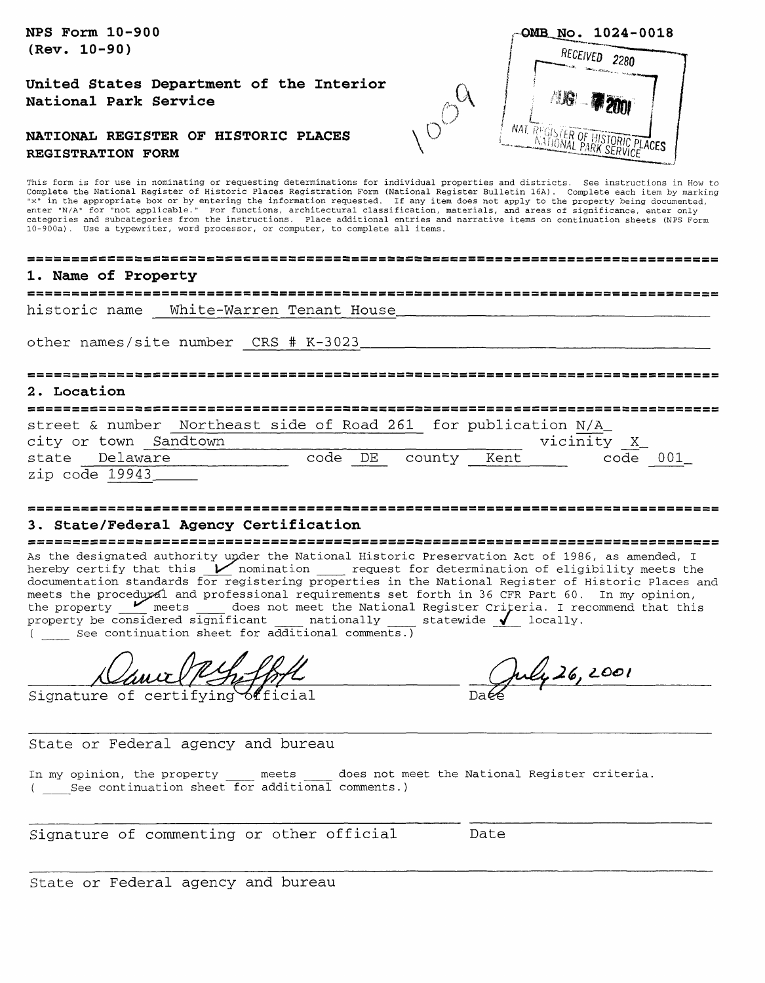**NPS Form 10-900 (Rev. 10-90)**

**United States Department of the Interior National Park Service**

#### **NATIONAL REGISTER OF HISTORIC PLACES REGISTRATION FORM**

This form is for use in nominating or requesting determinations for individual properties and districts. See instructions in How to enter "N/A" for "senter of Historic Places Registration Form (National Register Bulletin 16A). Complete each item by marking<br>"x" in the appropriate box or by entering the information requested. If any item does not apply t categories and subcategories from the instructions. Place additional entries and narrative items on continuation sheets (NPS Form 10-900a). Use a typewriter, word processor, or computer, to complete all items.

#### **1. Name of Property**

historic name White-Warren Tenant House

other names/site number CRS # K-3023.

#### **2 . Location**

street & number Northeast side of Road 261 for publication N/A\_ city or town Sandtown  $\overline{X}$ 

|                | $C + C$ , $C + C$ , $C - C$ , $C - C$ , $C - C$ , $C - C$ |         |        |      | _________<br>$\overline{a}$ |     |
|----------------|-----------------------------------------------------------|---------|--------|------|-----------------------------|-----|
|                | state Delaware                                            | code DE | county | Kent | code                        | 001 |
| zip code 19943 |                                                           |         |        |      |                             |     |

# 

#### **3. State/Federal Agency Certification**

As the designated authority under the National Historic Preservation Act of 1986, as amended, I<br>hereby certify that this Momination \_\_\_\_\_ request for determination of eligibility meets the documentation standards for registering properties in the National Register of Historic Places and meets the procedural and professional requirements set forth in 36 CFR Part 60. In my opinion, the property <u>the meets</u> and processions of the National Register Criteria. I recommend that this property be considered significant  $\frac{1}{\sqrt{2}}$  nationally  $\frac{1}{\sqrt{2}}$  locally. ( See continuation sheet for additional comments.)

<u>Naur (PS, John Daly 26, 2001</u>

State or Federal agency and bureau

In my opinion, the property \_\_\_\_ meets \_\_\_\_ does not meet the National Register criteria. ( See continuation sheet for additional comments.)

Signature of commenting or other official bate

State or Federal agency and bureau

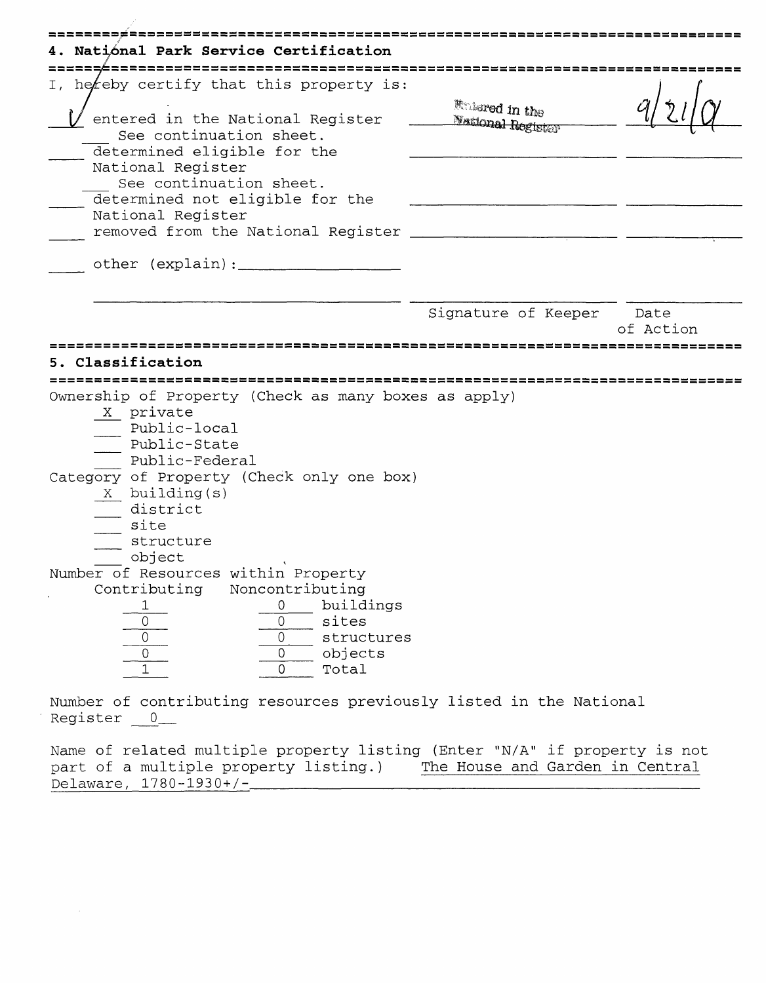| 4. Natiónal Park Service Certification                                                                                |                                                    |           |
|-----------------------------------------------------------------------------------------------------------------------|----------------------------------------------------|-----------|
| <u>,,,,,,,,,,,,,,,,,,,,,,,,,,,,</u><br>I, hereby certify that this property is:                                       |                                                    |           |
| entered in the National Register<br>See continuation sheet.<br>determined eligible for the<br>National Register       | <b>Finlered</b> in the<br><b>National Register</b> |           |
| See continuation sheet.<br>determined not eligible for the<br>National Register<br>removed from the National Register |                                                    |           |
|                                                                                                                       |                                                    |           |
|                                                                                                                       | Signature of Keeper Date                           | of Action |
| Ownership of Property (Check as many boxes as apply)<br>X private<br>- Public-local<br>Public-State<br>Public-Federal |                                                    |           |
| Category of Property (Check only one box)<br>X building(s)<br>- district<br>site<br>structure<br>object               |                                                    |           |
| Number of Resources within Property                                                                                   |                                                    |           |

Register 0\_

Name of related multiple property listing (Enter "N/A" if property is not part of a multiple property listing.) The House and Garden in Central Delaware, 1780-1930+/-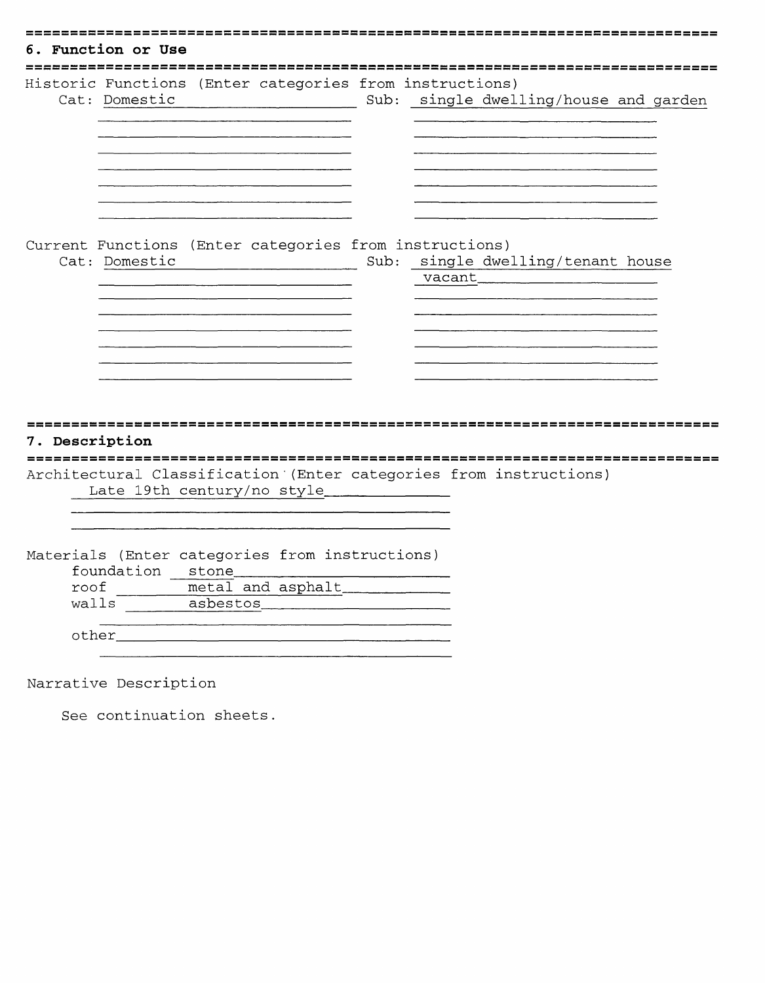| Historic Functions (Enter categories from instructions)                 |                                         |                                                                                                                                |  |
|-------------------------------------------------------------------------|-----------------------------------------|--------------------------------------------------------------------------------------------------------------------------------|--|
| Cat: Domestic                                                           |                                         | Sub: single dwelling/house and garden                                                                                          |  |
|                                                                         |                                         |                                                                                                                                |  |
|                                                                         |                                         |                                                                                                                                |  |
|                                                                         |                                         |                                                                                                                                |  |
|                                                                         |                                         |                                                                                                                                |  |
| Current Functions (Enter categories from instructions)<br>Cat: Domestic |                                         | Sub: single dwelling/tenant house                                                                                              |  |
|                                                                         | <u> 1990 - Johann Barbara, martin d</u> | vacant<br><u> 1980 - Antonio Alemania, prima prestava de la provincia de la provincia de la provincia de la provincia de l</u> |  |
|                                                                         |                                         |                                                                                                                                |  |
|                                                                         |                                         |                                                                                                                                |  |
|                                                                         |                                         |                                                                                                                                |  |
|                                                                         |                                         |                                                                                                                                |  |
|                                                                         |                                         |                                                                                                                                |  |
| 7. Description                                                          |                                         |                                                                                                                                |  |
|                                                                         |                                         |                                                                                                                                |  |
| Architectural Classification (Enter categories from instructions)       |                                         |                                                                                                                                |  |
| Late 19th century/no style                                              |                                         |                                                                                                                                |  |
|                                                                         |                                         |                                                                                                                                |  |
| Materials (Enter categories from instructions)<br>foundation stone      |                                         |                                                                                                                                |  |
| metal and asphalt<br>roof                                               |                                         |                                                                                                                                |  |
|                                                                         |                                         |                                                                                                                                |  |
|                                                                         | walls asbestos                          |                                                                                                                                |  |

See continuation sheets.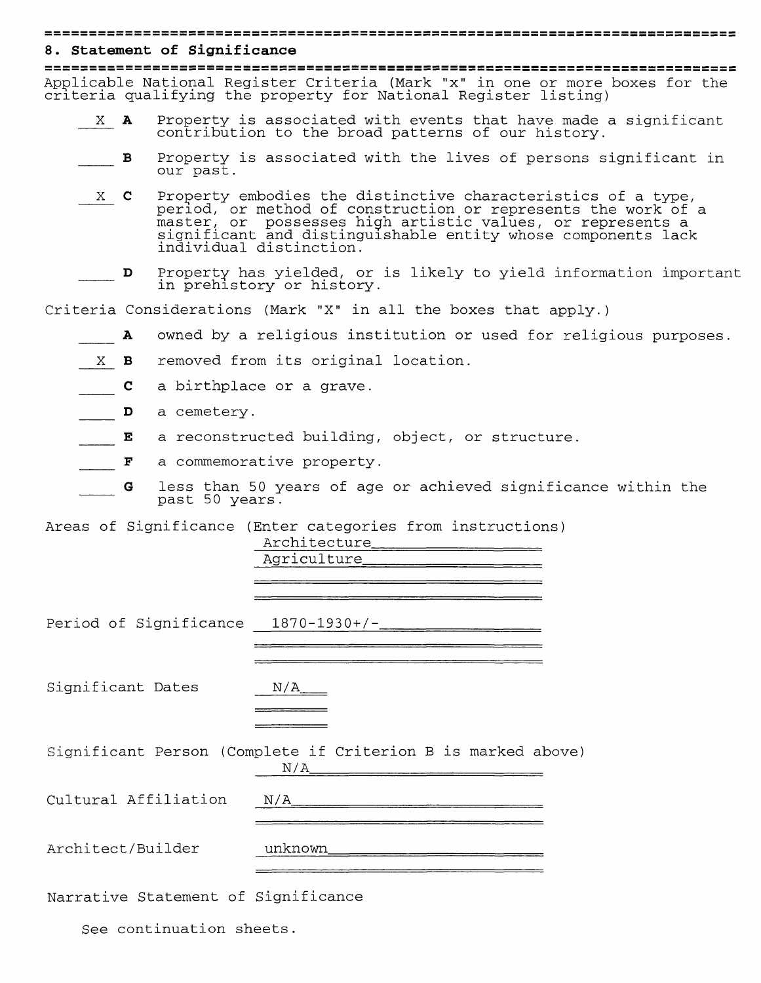#### 

#### **8. Statement of Significance**

Applicable National Register Criteria (Mark "x" in one or more boxes for the criteria qualifying the property for National Register listing)

- X A Property is associated with events that have made a significant contribution to the broad patterns of our history.
	- \_\_\_ B Property is associated with the lives of persons significant in our past.
- X C Property embodies the distinctive characteristics of a type, period, or method of construction or represents the work of a master, or possesses high artistic values, or represents a significant and distinguishable entity whose components lack individual distinction.
- D Property has yielded, or is likely to yield information important in prehistory or history.

Criteria Considerations (Mark "X" in all the boxes that apply.)

- A owned by a religious institution or used for religious purposes.
- X **B** removed from its original location.
- **C** a birthplace or a grave.
- D a cemetery.
- E a reconstructed building, object, or structure.
- $\begin{array}{cc} \begin{array}{cc} \text{F} & a \end{array}$  commemorative property.
	- G less than 50 years of age or achieved significance within the past 50 years.

Areas of Significance (Enter categories from instructions)

|                                     | Period of Significance 1870-1930+/-                                 |
|-------------------------------------|---------------------------------------------------------------------|
| Significant Dates                   | N/A                                                                 |
|                                     | Significant Person (Complete if Criterion B is marked above)<br>N/A |
| Cultural Affiliation                | N/A                                                                 |
| Architect/Builder                   |                                                                     |
| Narrative Statement of Significance |                                                                     |
| See continuation sheets.            |                                                                     |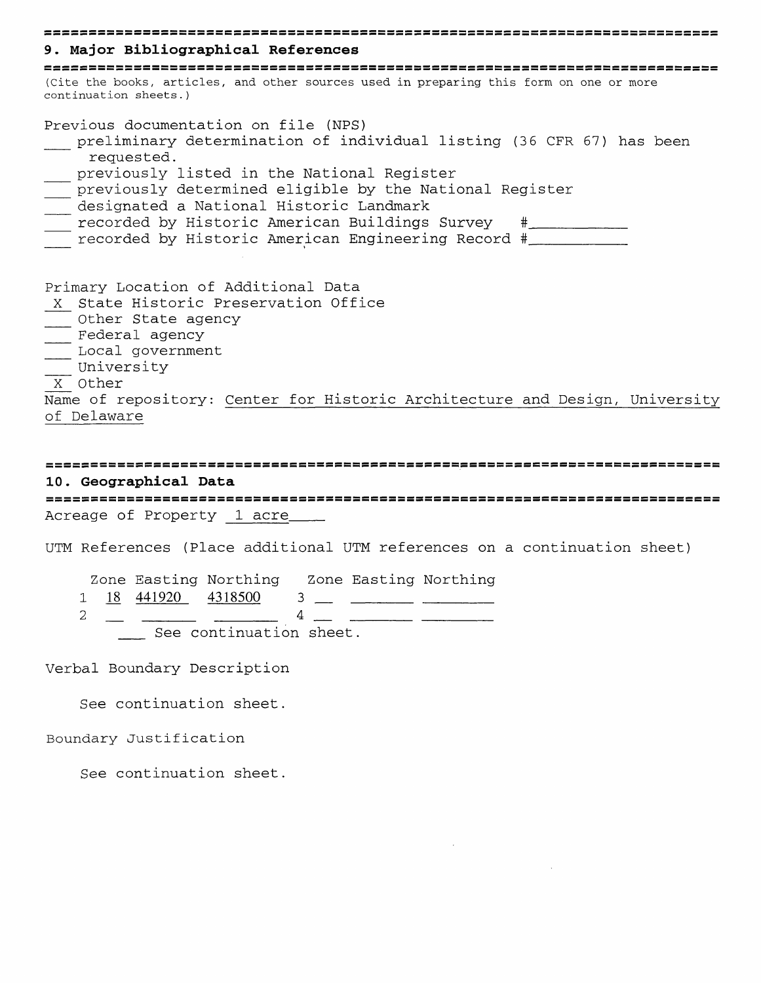# **9. Major Bibliographical References** cesses is contrared in the books serves are clusted to the books, articles, and other sources used in preparing this form on one or more continuation sheets.) Previous documentation on file (NFS) preliminary determination of individual listing (36 CFR 67) has been requested. \_\_ previously listed in the National Register previously determined eligible by the National Register \_\_ designated a National Historic Landmark \_\_ recorded by Historic American Buildings Survey #\_\_\_\_\_\_\_\_\_ \_\_ recorded by Historic American Engineering Record #\_\_\_\_\_\_\_\_\_ Primary Location of Additional Data X State Historic Preservation Office \_\_\_ Other State agency Federal agency \_\_ Local government \_\_ University X Other Name of repository: Center for Historic Architecture and Design, University of Delaware

# **10. Geographical Data** Acreage of Property 1 acre

UTM References (Place additional UTM references on a continuation sheet

Zone Easting Northing Zone Easting Northing  $\frac{1}{2}$   $\frac{18}{4}$   $\frac{441920}{4}$   $\frac{4318500}{4}$   $\frac{3}{4}$   $\frac{2}{4}$   $\frac{3}{4}$ 2 \_ \_\_\_\_\_ \_\_\_\_\_\_ 4 \_ \_\_\_\_\_\_ \_\_\_\_\_\_ See continuation sheet.

Verbal Boundary Description

See continuation sheet.

Boundary Justification

See continuation sheet.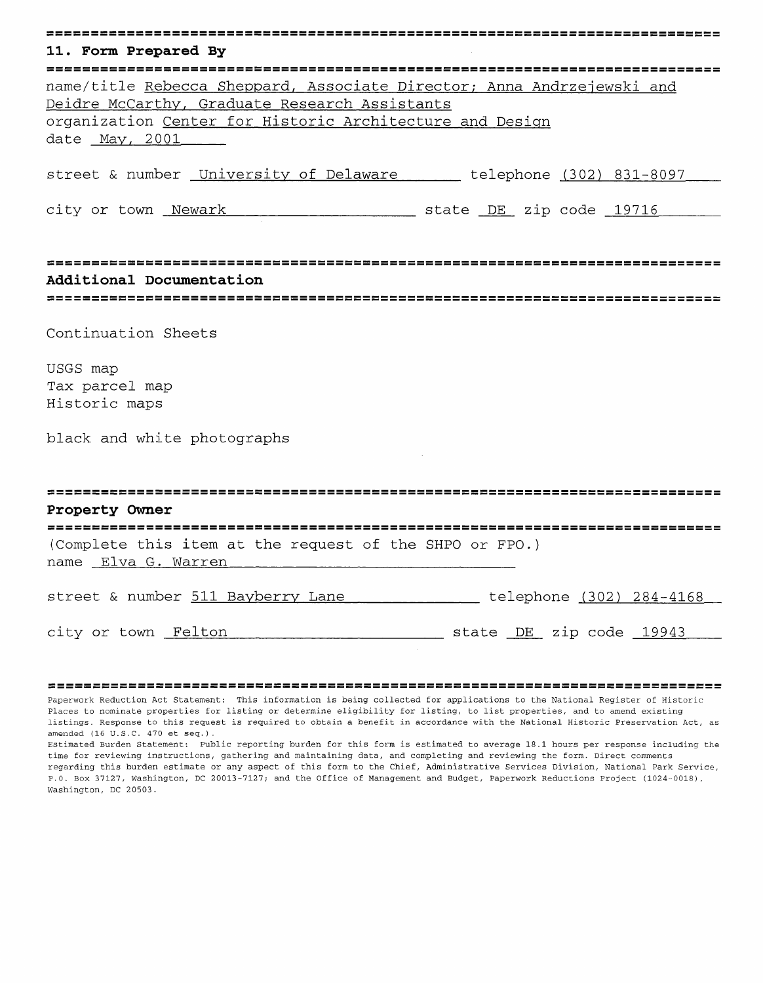|  | 11. Form Prepared By |  |  |  |  |
|--|----------------------|--|--|--|--|

| name/title Rebecca Sheppard, Associate Director; Anna Andrzejewski and |
|------------------------------------------------------------------------|
| Deidre McCarthy, Graduate Research Assistants                          |
| organization Center for Historic Architecture and Design               |
| date May, 2001_____                                                    |
|                                                                        |

street & number University of Delaware\_\_\_\_\_\_ telephone (302) 831-8097

city or town <u>Newark encorrections</u> at the DE zip code 19716

**Additional Documentation**

# 

Continuation Sheets

USGS map Tax parcel map Historic maps

black and white photographs

| Property Owner                                          |  |  |  |  |  |  |  |  |
|---------------------------------------------------------|--|--|--|--|--|--|--|--|
| (Complete this item at the request of the SHPO or FPO.) |  |  |  |  |  |  |  |  |
| name Elva G. Warren                                     |  |  |  |  |  |  |  |  |

street & number 511 Bayberry Lane \_\_\_\_\_\_\_\_\_\_\_\_ telephone (302) 284-4168

city or town Felton\_\_\_\_\_\_\_\_\_\_\_\_\_\_\_\_\_\_\_\_\_ state DE zip code 19943

Paperwork Reduction Act Statement: This information is being collected for applications to the National Register of Historic Places to nominate properties for listing or determine eligibility for listing, to list properties, and to amend existing listings. Response to this request is required to obtain a benefit in accordance with the National Historic Preservation Act, as amended (16 U.S.C. 470 et seq.).

Estimated Burden Statement: Public reporting burden for this form is estimated to average 18.1 hours per response including the time for reviewing instructions, gathering and maintaining data, and completing and reviewing the form. Direct comments regarding this burden estimate or any aspect of this form to the Chief, Administrative Services Division, National Park Service, P.O. Box 37127, Washington, DC 20013-7127; and the Office of Management and Budget, Paperwork Reductions Project (1024-0018), Washington, DC 20503.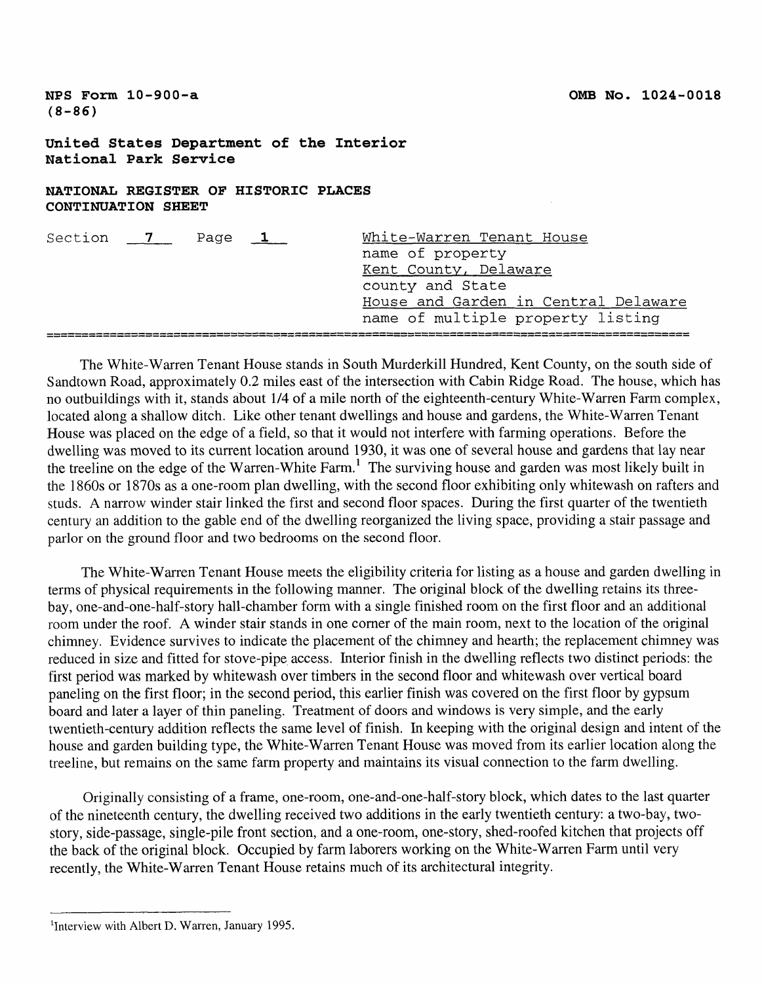**NFS Form 10-900-a (8-86)**

**United States Department of the Interior National Park Service**

# **NATIONAL REGISTER OF HISTORIC PLACES CONTINUATION SHEET**

| Section | $\overline{7}$ | Page $1$ | White-Warren Tenant House<br>name of property                             |
|---------|----------------|----------|---------------------------------------------------------------------------|
|         |                |          | Kent County, Delaware<br>county and State                                 |
|         |                |          | House and Garden in Central Delaware<br>name of multiple property listing |
|         |                |          |                                                                           |

The White-Warren Tenant House stands in South Murderkill Hundred, Kent County, on the south side of Sandtown Road, approximately 0.2 miles east of the intersection with Cabin Ridge Road. The house, which has no outbuildings with it, stands about 1/4 of a mile north of the eighteenth-century White-Warren Farm complex, located along a shallow ditch. Like other tenant dwellings and house and gardens, the White-Warren Tenant House was placed on the edge of a field, so that it would not interfere with farming operations. Before the dwelling was moved to its current location around 1930, it was one of several house and gardens that lay near the treeline on the edge of the Warren-White Farm.<sup>1</sup> The surviving house and garden was most likely built in the 1860s or 1870s as a one-room plan dwelling, with the second floor exhibiting only whitewash on rafters and studs. A narrow winder stair linked the first and second floor spaces. During the first quarter of the twentieth century an addition to the gable end of the dwelling reorganized the living space, providing a stair passage and parlor on the ground floor and two bedrooms on the second floor.

The White-Warren Tenant House meets the eligibility criteria for listing as a house and garden dwelling in terms of physical requirements in the following manner. The original block of the dwelling retains its threebay, one-and-one-half-story hall-chamber form with a single finished room on the first floor and an additional room under the roof. A winder stair stands in one corner of the main room, next to the location of the original chimney. Evidence survives to indicate the placement of the chimney and hearth; the replacement chimney was reduced in size and fitted for stove-pipe access. Interior finish in the dwelling reflects two distinct periods: the first period was marked by whitewash over timbers in the second floor and whitewash over vertical board paneling on the first floor; in the second period, this earlier finish was covered on the first floor by gypsum board and later a layer of thin paneling. Treatment of doors and windows is very simple, and the early twentieth-century addition reflects the same level of finish. In keeping with the original design and intent of the house and garden building type, the White-Warren Tenant House was moved from its earlier location along the treeline, but remains on the same farm property and maintains its visual connection to the farm dwelling.

Originally consisting of a frame, one-room, one-and-one-half-story block, which dates to the last quarter of the nineteenth century, the dwelling received two additions in the early twentieth century: a two-bay, twostory, side-passage, single-pile front section, and a one-room, one-story, shed-roofed kitchen that projects off the back of the original block. Occupied by farm laborers working on the White-Warren Farm until very recently, the White-Warren Tenant House retains much of its architectural integrity.

<sup>&</sup>lt;sup>1</sup>Interview with Albert D. Warren, January 1995.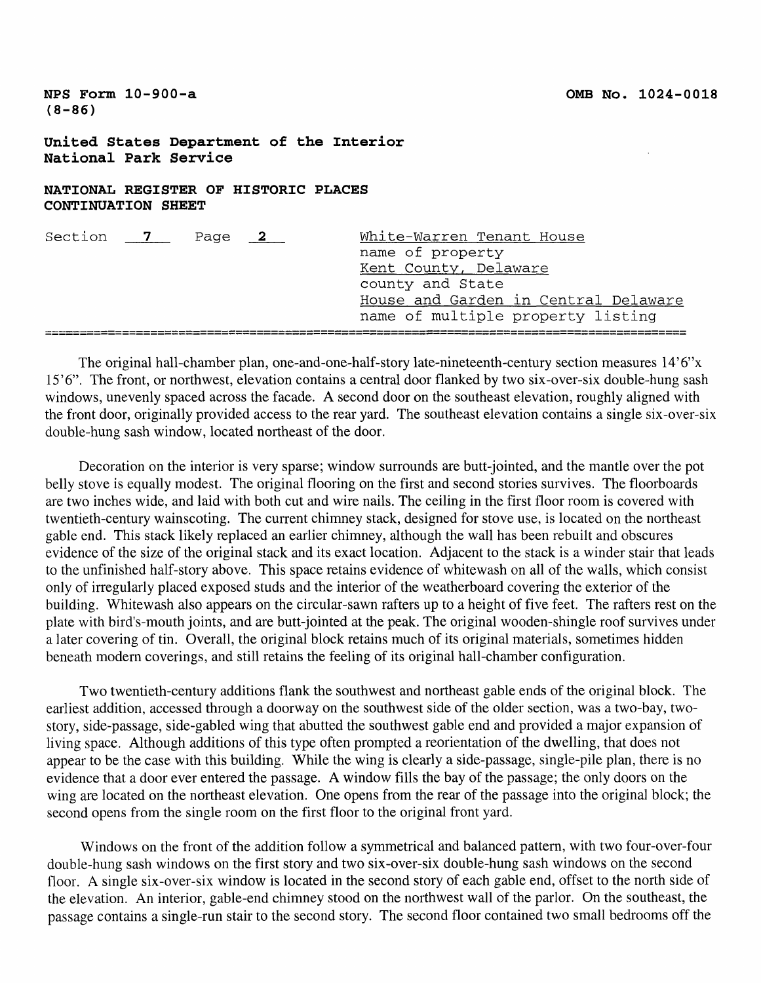**NFS Form 10-900-a (8-86)**

#### **United States Department of the Interior National Park Service**

# **NATIONAL REGISTER OF HISTORIC PLACES CONTINUATION SHEET**

| Section 7 | Page 2 | White-Warren Tenant House            |
|-----------|--------|--------------------------------------|
|           |        | name of property                     |
|           |        | Kent County, Delaware                |
|           |        | county and State                     |
|           |        | House and Garden in Central Delaware |
|           |        | name of multiple property listing    |
|           |        |                                      |

The original hall-chamber plan, one-and-one-half-story late-nineteenth-century section measures 14'6"x 15'6". The front, or northwest, elevation contains a central door flanked by two six-over-six double-hung sash windows, unevenly spaced across the facade. A second door on the southeast elevation, roughly aligned with the front door, originally provided access to the rear yard. The southeast elevation contains a single six-over-six double-hung sash window, located northeast of the door.

Decoration on the interior is very sparse; window surrounds are butt-jointed, and the mantle over the pot belly stove is equally modest. The original flooring on the first and second stories survives. The floorboards are two inches wide, and laid with both cut and wire nails. The ceiling in the first floor room is covered with twentieth-century wainscoting. The current chimney stack, designed for stove use, is located on the northeast gable end. This stack likely replaced an earlier chimney, although the wall has been rebuilt and obscures evidence of the size of the original stack and its exact location. Adjacent to the stack is a winder stair that leads to the unfinished half-story above. This space retains evidence of whitewash on all of the walls, which consist only of irregularly placed exposed studs and the interior of the weatherboard covering the exterior of the building. Whitewash also appears on the circular-sawn rafters up to a height of five feet. The rafters rest on the plate with bird's-mouth joints, and are butt-jointed at the peak. The original wooden-shingle roof survives under a later covering of tin. Overall, the original block retains much of its original materials, sometimes hidden beneath modern coverings, and still retains the feeling of its original hall-chamber configuration.

Two twentieth-century additions flank the southwest and northeast gable ends of the original block. The earliest addition, accessed through a doorway on the southwest side of the older section, was a two-bay, twostory, side-passage, side-gabled wing that abutted the southwest gable end and provided a major expansion of living space. Although additions of this type often prompted a reorientation of the dwelling, that does not appear to be the case with this building. While the wing is clearly a side-passage, single-pile plan, there is no evidence that a door ever entered the passage. A window fills the bay of the passage; the only doors on the wing are located on the northeast elevation. One opens from the rear of the passage into the original block; the second opens from the single room on the first floor to the original front yard.

Windows on the front of the addition follow a symmetrical and balanced pattern, with two four-over-four double-hung sash windows on the first story and two six-over-six double-hung sash windows on the second floor. A single six-over-six window is located in the second story of each gable end, offset to the north side of the elevation. An interior, gable-end chimney stood on the northwest wall of the parlor. On the southeast, the passage contains a single-run stair to the second story. The second floor contained two small bedrooms off the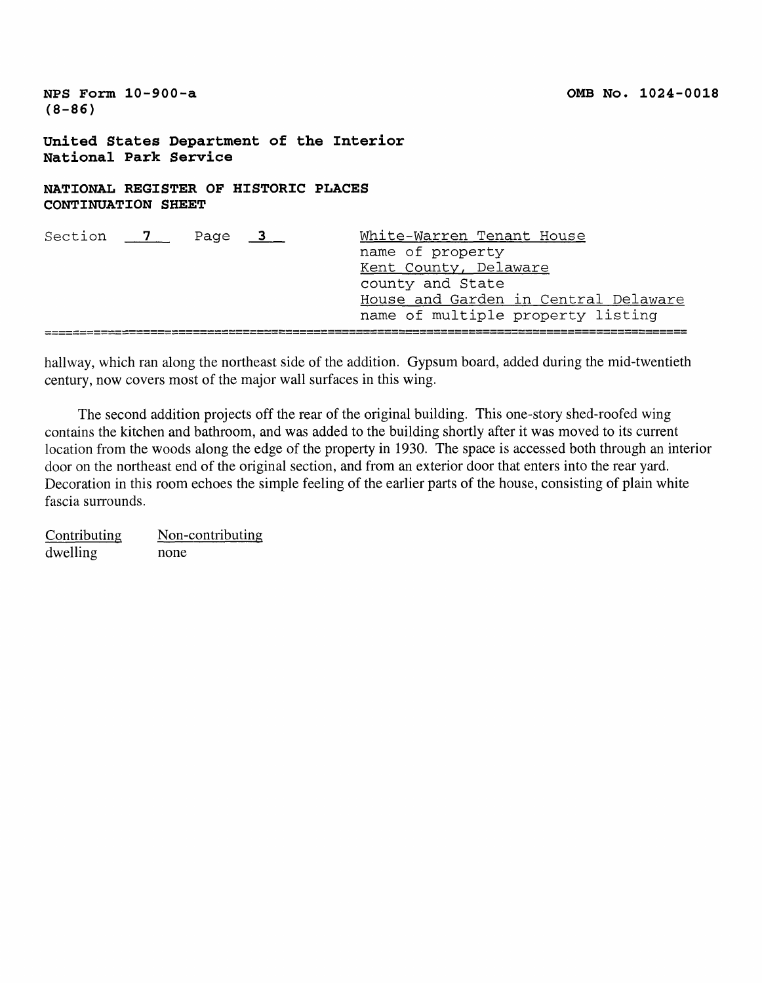**NFS Form 10-900-a (8-86)**

**United States Department of the Interior National Park Service**

# **NATIONAL REGISTER OF HISTORIC PLACES CONTINUATION SHEET**

| Section 7 | Page $3$ | White-Warren Tenant House            |
|-----------|----------|--------------------------------------|
|           |          | name of property                     |
|           |          | Kent County, Delaware                |
|           |          | county and State                     |
|           |          | House and Garden in Central Delaware |
|           |          | name of multiple property listing    |
|           |          |                                      |

hallway, which ran along the northeast side of the addition. Gypsum board, added during the mid-twentieth century, now covers most of the major wall surfaces in this wing.

The second addition projects off the rear of the original building. This one-story shed-roofed wing contains the kitchen and bathroom, and was added to the building shortly after it was moved to its current location from the woods along the edge of the property in 1930. The space is accessed both through an interior door on the northeast end of the original section, and from an exterior door that enters into the rear yard. Decoration in this room echoes the simple feeling of the earlier parts of the house, consisting of plain white fascia surrounds.

Contributing dwelling Non-contributing none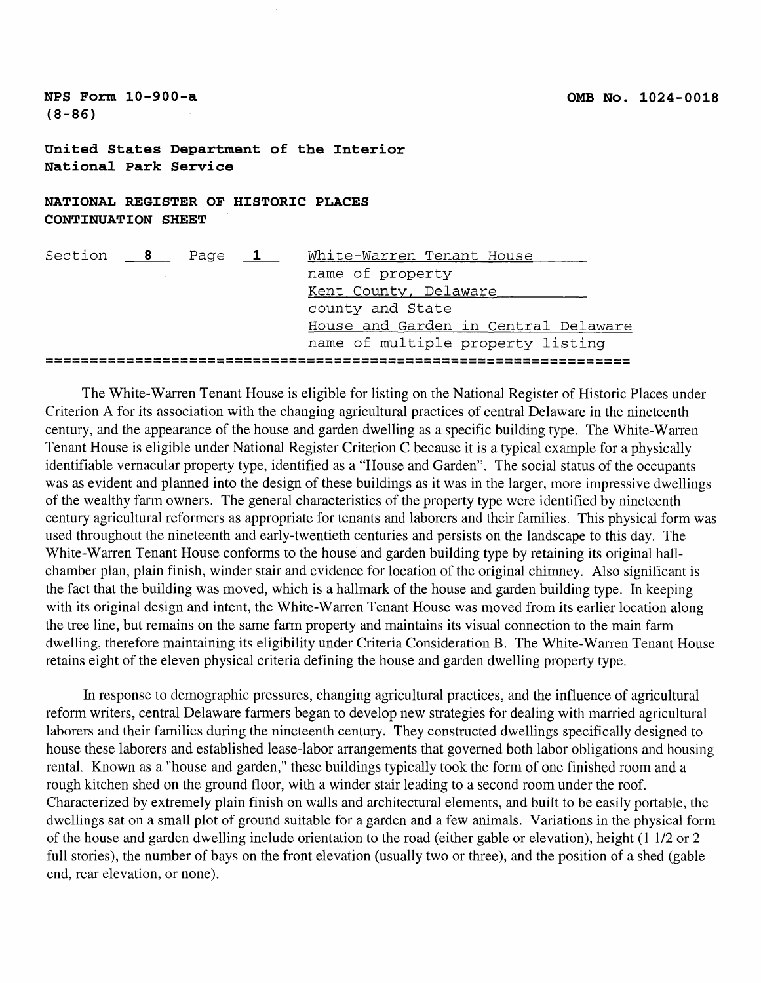**United States Department of the Interior National Park Service**

NATIONAL REGISTER OF HISTORIC PLACES **CONTINUATION SHEET** 

| Section | $\overline{8}$ | Page | $\mathbf{1}$ | White-Warren Tenant House         |  |  |  |                                      |
|---------|----------------|------|--------------|-----------------------------------|--|--|--|--------------------------------------|
|         |                |      |              | name of property                  |  |  |  |                                      |
|         |                |      |              | Kent County, Delaware             |  |  |  |                                      |
|         |                |      |              | county and State                  |  |  |  |                                      |
|         |                |      |              |                                   |  |  |  | House and Garden in Central Delaware |
|         |                |      |              | name of multiple property listing |  |  |  |                                      |
|         |                |      |              |                                   |  |  |  |                                      |

The White-Warren Tenant House is eligible for listing on the National Register of Historic Places under Criterion A for its association with the changing agricultural practices of central Delaware in the nineteenth century, and the appearance of the house and garden dwelling as a specific building type. The White-Warren Tenant House is eligible under National Register Criterion C because it is a typical example for a physically identifiable vernacular property type, identified as a "House and Garden". The social status of the occupants was as evident and planned into the design of these buildings as it was in the larger, more impressive dwellings of the wealthy farm owners. The general characteristics of the property type were identified by nineteenth century agricultural reformers as appropriate for tenants and laborers and their families. This physical form was used throughout the nineteenth and early-twentieth centuries and persists on the landscape to this day. The White-Warren Tenant House conforms to the house and garden building type by retaining its original hallchamber plan, plain finish, winder stair and evidence for location of the original chimney. Also significant is the fact that the building was moved, which is a hallmark of the house and garden building type. In keeping with its original design and intent, the White-Warren Tenant House was moved from its earlier location along the tree line, but remains on the same farm property and maintains its visual connection to the main farm dwelling, therefore maintaining its eligibility under Criteria Consideration B. The White-Warren Tenant House retains eight of the eleven physical criteria defining the house and garden dwelling property type.

In response to demographic pressures, changing agricultural practices, and the influence of agricultural reform writers, central Delaware farmers began to develop new strategies for dealing with married agricultural laborers and their families during the nineteenth century. They constructed dwellings specifically designed to house these laborers and established lease-labor arrangements that governed both labor obligations and housing rental. Known as a "house and garden," these buildings typically took the form of one finished room and a rough kitchen shed on the ground floor, with a winder stair leading to a second room under the roof. Characterized by extremely plain finish on walls and architectural elements, and built to be easily portable, the dwellings sat on a small plot of ground suitable for a garden and a few animals. Variations in the physical form of the house and garden dwelling include orientation to the road (either gable or elevation), height (1 1/2 or 2 full stories), the number of bays on the front elevation (usually two or three), and the position of a shed (gable end, rear elevation, or none).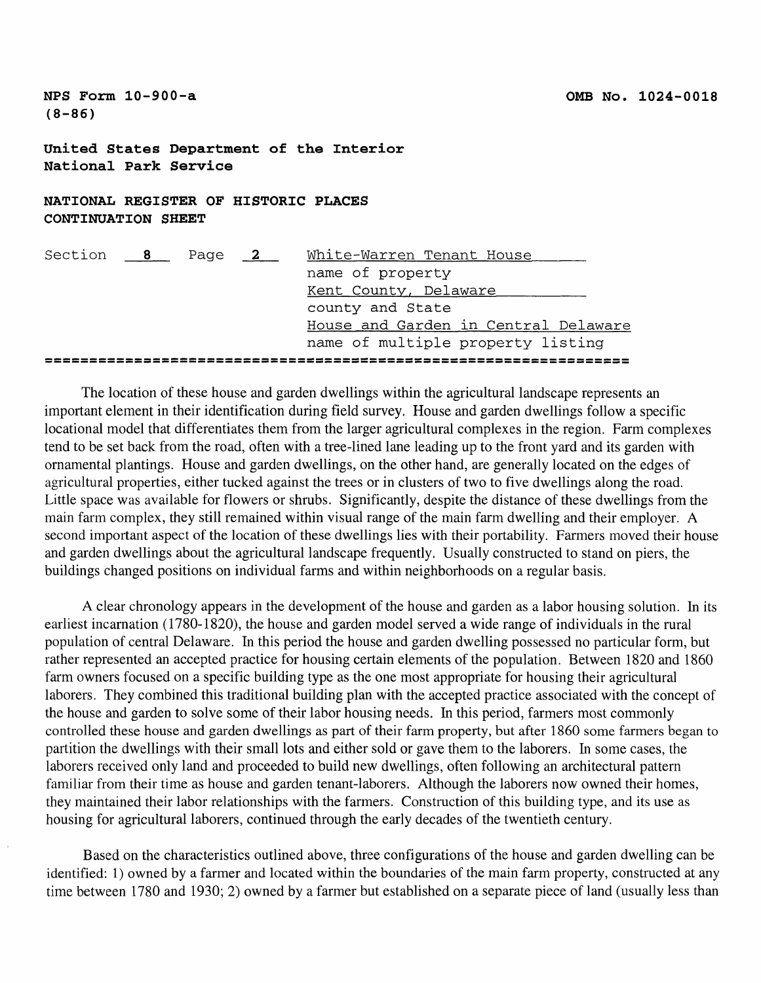**United States Department of the Interior National Park Service**

**NATIONAL REGISTER OF HISTORIC PLACES CONTINUATION SHEET**

| Section | $\overline{\mathbf{8}}$ | Page | $\sim$ $\frac{2}{2}$ | White-Warren Tenant House            |
|---------|-------------------------|------|----------------------|--------------------------------------|
|         |                         |      |                      | name of property                     |
|         |                         |      |                      | Kent County, Delaware                |
|         |                         |      |                      | county and State                     |
|         |                         |      |                      | House and Garden in Central Delaware |
|         |                         |      |                      | name of multiple property listing    |
|         |                         |      |                      |                                      |

The location of these house and garden dwellings within the agricultural landscape represents an important element in their identification during field survey. House and garden dwellings follow a specific locational model that differentiates them from the larger agricultural complexes in the region. Farm complexes tend to be set back from the road, often with a tree-lined lane leading up to the front yard and its garden with ornamental plantings. House and garden dwellings, on the other hand, are generally located on the edges of agricultural properties, either tucked against the trees or in clusters of two to five dwellings along the road. Little space was available for flowers or shrubs. Significantly, despite the distance of these dwellings from the main farm complex, they still remained within visual range of the main farm dwelling and their employer. A second important aspect of the location of these dwellings lies with their portability. Farmers moved their house and garden dwellings about the agricultural landscape frequently. Usually constructed to stand on piers, the buildings changed positions on individual farms and within neighborhoods on a regular basis.

A clear chronology appears in the development of the house and garden as a labor housing solution. In its earliest incarnation (1780-1820), the house and garden model served a wide range of individuals in the rural population of central Delaware. In this period the house and garden dwelling possessed no particular form, but rather represented an accepted practice for housing certain elements of the population. Between 1820 and 1860 farm owners focused on a specific building type as the one most appropriate for housing their agricultural laborers. They combined this traditional building plan with the accepted practice associated with the concept of the house and garden to solve some of their labor housing needs. In this period, farmers most commonly controlled these house and garden dwellings as part of their farm property, but after 1860 some farmers began to partition the dwellings with their small lots and either sold or gave them to the laborers. In some cases, the laborers received only land and proceeded to build new dwellings, often following an architectural pattern familiar from their time as house and garden tenant-laborers. Although the laborers now owned their homes, they maintained their labor relationships with the farmers. Construction of this building type, and its use as housing for agricultural laborers, continued through the early decades of the twentieth century.

Based on the characteristics outlined above, three configurations of the house and garden dwelling can be identified: 1) owned by a farmer and located within the boundaries of the main farm property, constructed at any time between 1780 and 1930; 2) owned by a farmer but established on a separate piece of land (usually less than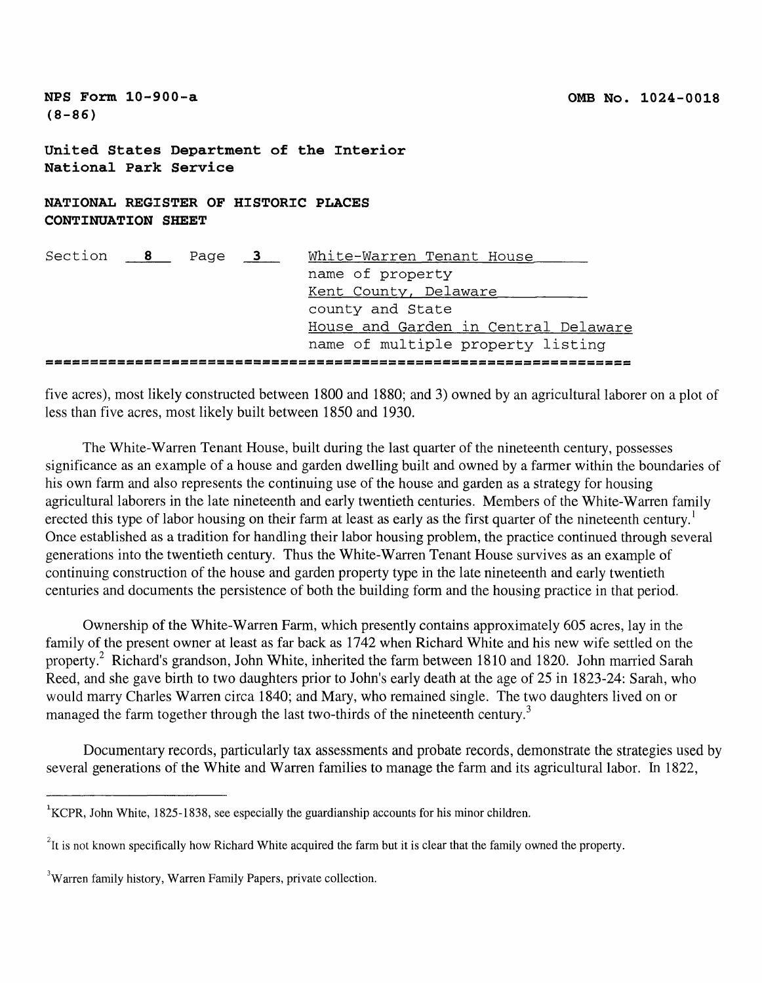| NPS Form $10-900-a$<br>$(8 - 86)$                                 |                                                                                                                                            |  |  | OMB No. 1024-0018 |  |  |  |  |  |
|-------------------------------------------------------------------|--------------------------------------------------------------------------------------------------------------------------------------------|--|--|-------------------|--|--|--|--|--|
| United States Department of the Interior<br>National Park Service |                                                                                                                                            |  |  |                   |  |  |  |  |  |
| NATIONAL REGISTER OF HISTORIC PLACES<br><b>CONTINUATION SHEET</b> |                                                                                                                                            |  |  |                   |  |  |  |  |  |
| Section 8 Page 3 White-Warren Tenant House                        | name of property<br>Kent County, Delaware<br>county and State<br>House and Garden in Central Delaware<br>name of multiple property listing |  |  |                   |  |  |  |  |  |

five acres), most likely constructed between 1800 and 1880; and 3) owned by an agricultural laborer on a plot of less than five acres, most likely built between 1850 and 1930.

The White-Warren Tenant House, built during the last quarter of the nineteenth century, possesses significance as an example of a house and garden dwelling built and owned by a farmer within the boundaries of his own farm and also represents the continuing use of the house and garden as a strategy for housing agricultural laborers in the late nineteenth and early twentieth centuries. Members of the White-Warren family erected this type of labor housing on their farm at least as early as the first quarter of the nineteenth century.<sup>1</sup> Once established as a tradition for handling their labor housing problem, the practice continued through several generations into the twentieth century. Thus the White-Warren Tenant House survives as an example of continuing construction of the house and garden property type in the late nineteenth and early twentieth centuries and documents the persistence of both the building form and the housing practice in that period.

Ownership of the White-Warren Farm, which presently contains approximately 605 acres, lay in the family of the present owner at least as far back as 1742 when Richard White and his new wife settled on the property.2 Richard's grandson, John White, inherited the farm between 1810 and 1820. John married Sarah Reed, and she gave birth to two daughters prior to John's early death at the age of 25 in 1823-24: Sarah, who would marry Charles Warren circa 1840; and Mary, who remained single. The two daughters lived on or managed the farm together through the last two-thirds of the nineteenth century.<sup>3</sup>

Documentary records, particularly tax assessments and probate records, demonstrate the strategies used by several generations of the White and Warren families to manage the farm and its agricultural labor. In 1822,

<sup>&</sup>lt;sup>1</sup>KCPR, John White, 1825-1838, see especially the guardianship accounts for his minor children.

 $I<sup>2</sup>$ It is not known specifically how Richard White acquired the farm but it is clear that the family owned the property.

<sup>&</sup>lt;sup>3</sup>Warren family history, Warren Family Papers, private collection.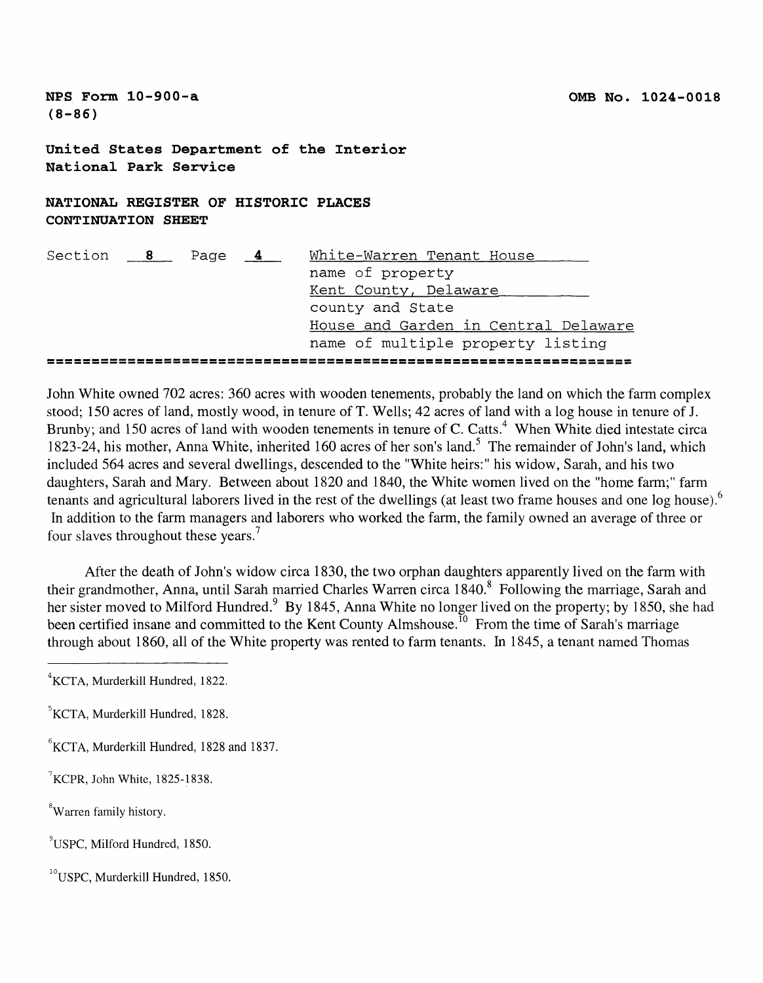**United States Department of the Interior National Park Service**

**NATIONAL REGISTER OF HISTORIC PLACES CONTINUATION SHEET**

| Section 8 Page |  | $\overline{\mathbf{4}}$ | White-Warren Tenant House |  |  |  |                                      |
|----------------|--|-------------------------|---------------------------|--|--|--|--------------------------------------|
|                |  |                         | name of property          |  |  |  |                                      |
|                |  |                         | Kent County, Delaware     |  |  |  |                                      |
|                |  |                         | county and State          |  |  |  |                                      |
|                |  |                         |                           |  |  |  | House and Garden in Central Delaware |
|                |  |                         |                           |  |  |  | name of multiple property listing    |
|                |  |                         |                           |  |  |  |                                      |

John White owned 702 acres: 360 acres with wooden tenements, probably the land on which the farm complex stood; 150 acres of land, mostly wood, in tenure of T. Wells; 42 acres of land with a log house in tenure of J. Brunby; and 150 acres of land with wooden tenements in tenure of C. Catts.<sup>4</sup> When White died intestate circa 1823-24, his mother, Anna White, inherited 160 acres of her son's land.<sup>5</sup> The remainder of John's land, which included 564 acres and several dwellings, descended to the "White heirs:" his widow, Sarah, and his two daughters, Sarah and Mary. Between about 1820 and 1840, the White women lived on the "home farm;" farm tenants and agricultural laborers lived in the rest of the dwellings (at least two frame houses and one log house).<sup>6</sup> In addition to the farm managers and laborers who worked the farm, the family owned an average of three or four slaves throughout these years.<sup>7</sup>

After the death of John's widow circa 1830, the two orphan daughters apparently lived on the farm with their grandmother, Anna, until Sarah married Charles Warren circa 1840.<sup>8</sup> Following the marriage, Sarah and her sister moved to Milford Hundred.<sup>9</sup> By 1845, Anna White no longer lived on the property; by 1850, she had been certified insane and committed to the Kent County Almshouse.<sup>10</sup> From the time of Sarah's marriage through about 1860, all of the White property was rented to farm tenants. In 1845, a tenant named Thomas

- <sup>8</sup>Warren family history.
- 9USPC, Milford Hundred, 1850.
- $^{10}$ USPC, Murderkill Hundred, 1850.

 ${}^{4}$ KCTA, Murderkill Hundred, 1822.

<sup>&</sup>lt;sup>5</sup>KCTA, Murderkill Hundred, 1828.

<sup>°</sup>KCTA, Murderkill Hundred, 1828 and 1837.

 $\mathrm{7}$ KCPR, John White, 1825-1838.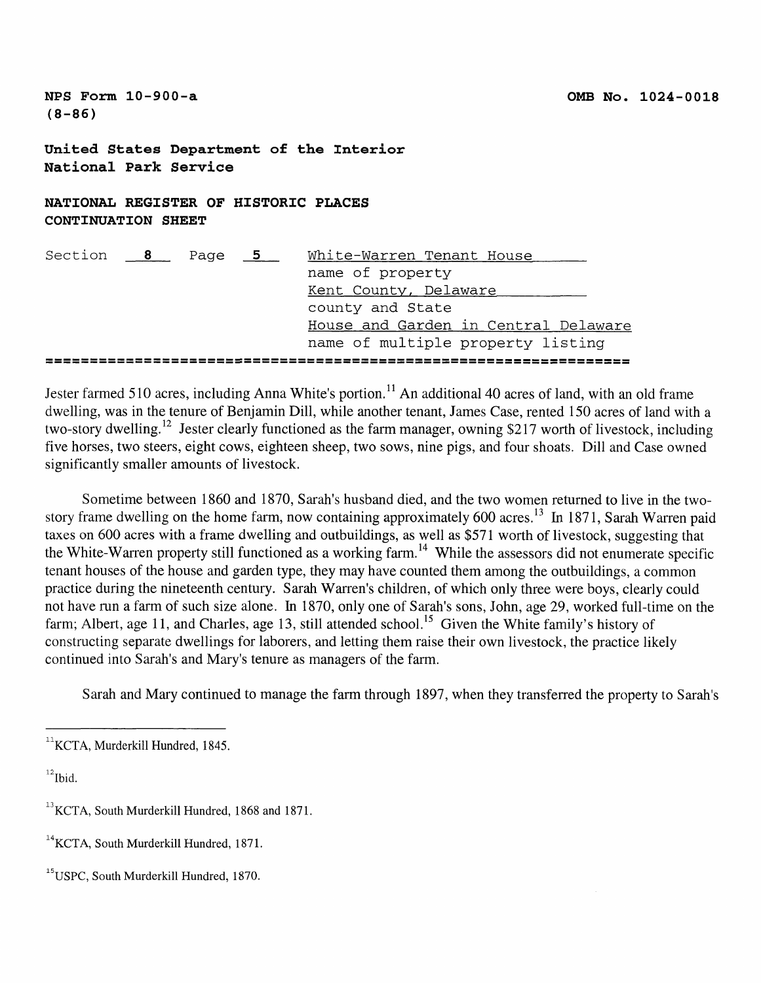**United States Department of the Interior National Park Service**

**NATIONAL REGISTER OF HISTORIC PLACES CONTINUATION SHEET**

| Section 8 | Page 5 | White-Warren Tenant House            |
|-----------|--------|--------------------------------------|
|           |        | name of property                     |
|           |        | Kent County, Delaware                |
|           |        | county and State                     |
|           |        | House and Garden in Central Delaware |
|           |        | name of multiple property listing    |
|           |        |                                      |

Jester farmed 510 acres, including Anna White's portion.<sup>11</sup> An additional 40 acres of land, with an old frame dwelling, was in the tenure of Benjamin Dill, while another tenant, James Case, rented 150 acres of land with a two-story dwelling.<sup>12</sup> Jester clearly functioned as the farm manager, owning \$217 worth of livestock, including five horses, two steers, eight cows, eighteen sheep, two sows, nine pigs, and four shoats. Dill and Case owned significantly smaller amounts of livestock.

Sometime between 1860 and 1870, Sarah's husband died, and the two women returned to live in the twostory frame dwelling on the home farm, now containing approximately 600 acres.<sup>13</sup> In 1871, Sarah Warren paid taxes on 600 acres with a frame dwelling and outbuildings, as well as \$571 worth of livestock, suggesting that the White-Warren property still functioned as a working farm.<sup>14</sup> While the assessors did not enumerate specific tenant houses of the house and garden type, they may have counted them among the outbuildings, a common practice during the nineteenth century. Sarah Warren's children, of which only three were boys, clearly could not have run a farm of such size alone. In 1870, only one of Sarah's sons, John, age 29, worked full-time on the farm; Albert, age 11, and Charles, age 13, still attended school.<sup>15</sup> Given the White family's history of constructing separate dwellings for laborers, and letting them raise their own livestock, the practice likely continued into Sarah's and Mary's tenure as managers of the farm.

Sarah and Mary continued to manage the farm through 1897, when they transferred the property to Sarah's

 $^{12}$ Ibid.

 $11$ KCTA, Murderkill Hundred, 1845.

 $^{13}$ KCTA, South Murderkill Hundred, 1868 and 1871.

<sup>&</sup>lt;sup>14</sup>KCTA, South Murderkill Hundred, 1871.

<sup>&</sup>lt;sup>15</sup> USPC, South Murderkill Hundred, 1870.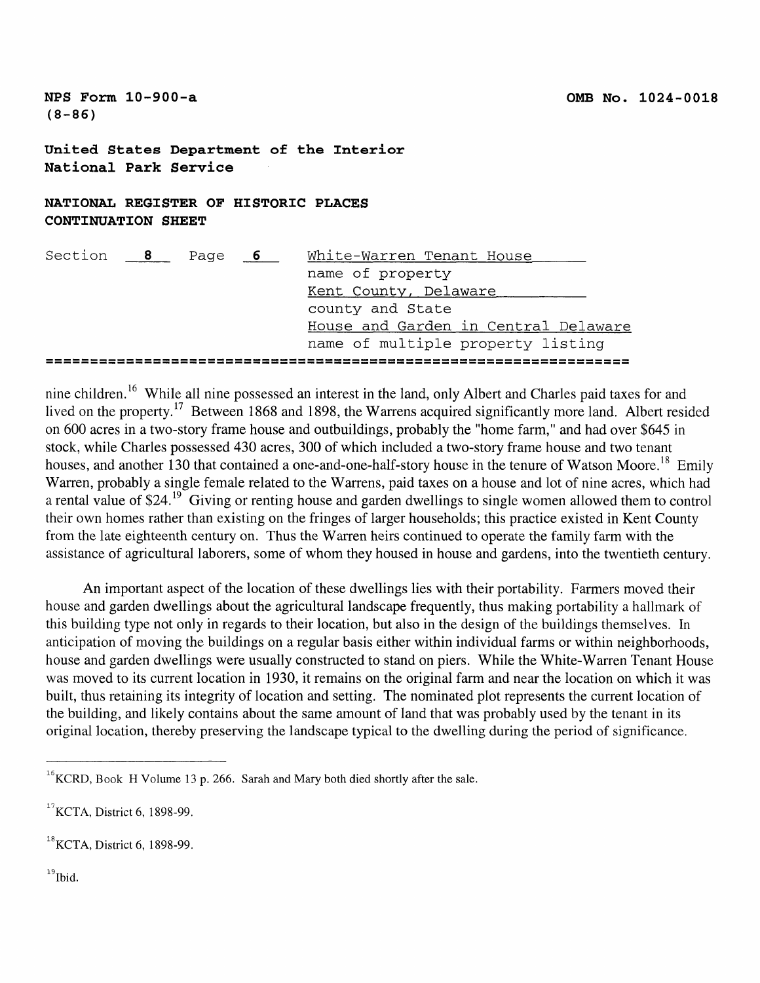**United States Department of the Interior National Park Service**

# **NATIONAL REGISTER OF HISTORIC PLACES CONTINUATION SHEET**

| Section | $\overline{\mathbf{8}}$ | Page | $\overline{\phantom{0}}$ | White-Warren Tenant House |  |  |  |                                      |
|---------|-------------------------|------|--------------------------|---------------------------|--|--|--|--------------------------------------|
|         |                         |      |                          | name of property          |  |  |  |                                      |
|         |                         |      |                          | Kent County, Delaware     |  |  |  |                                      |
|         |                         |      |                          | county and State          |  |  |  |                                      |
|         |                         |      |                          |                           |  |  |  | House and Garden in Central Delaware |
|         |                         |      |                          |                           |  |  |  | name of multiple property listing    |
|         |                         |      |                          |                           |  |  |  |                                      |

nine children. 16 While all nine possessed an interest in the land, only Albert and Charles paid taxes for and lived on the property.<sup>17</sup> Between 1868 and 1898, the Warrens acquired significantly more land. Albert resided on 600 acres in a two-story frame house and outbuildings, probably the "home farm," and had over \$645 in stock, while Charles possessed 430 acres, 300 of which included a two-story frame house and two tenant houses, and another 130 that contained a one-and-one-half-story house in the tenure of Watson Moore.<sup>18</sup> Emily Warren, probably a single female related to the Warrens, paid taxes on a house and lot of nine acres, which had a rental value of \$24.<sup>19</sup> Giving or renting house and garden dwellings to single women allowed them to control their own homes rather than existing on the fringes of larger households; this practice existed in Kent County from the late eighteenth century on. Thus the Warren heirs continued to operate the family farm with the assistance of agricultural laborers, some of whom they housed in house and gardens, into the twentieth century.

An important aspect of the location of these dwellings lies with their portability. Farmers moved their house and garden dwellings about the agricultural landscape frequently, thus making portability a hallmark of this building type not only in regards to their location, but also in the design of the buildings themselves. In anticipation of moving the buildings on a regular basis either within individual farms or within neighborhoods, house and garden dwellings were usually constructed to stand on piers. While the White-Warren Tenant House was moved to its current location in 1930, it remains on the original farm and near the location on which it was built, thus retaining its integrity of location and setting. The nominated plot represents the current location of the building, and likely contains about the same amount of land that was probably used by the tenant in its original location, thereby preserving the landscape typical to the dwelling during the period of significance.

<sup>19</sup>Ibid.

 $^{16}$ KCRD, Book H Volume 13 p. 266. Sarah and Mary both died shortly after the sale.

 $17$  KCTA, District 6, 1898-99.

 $^{18}$ KCTA, District 6, 1898-99.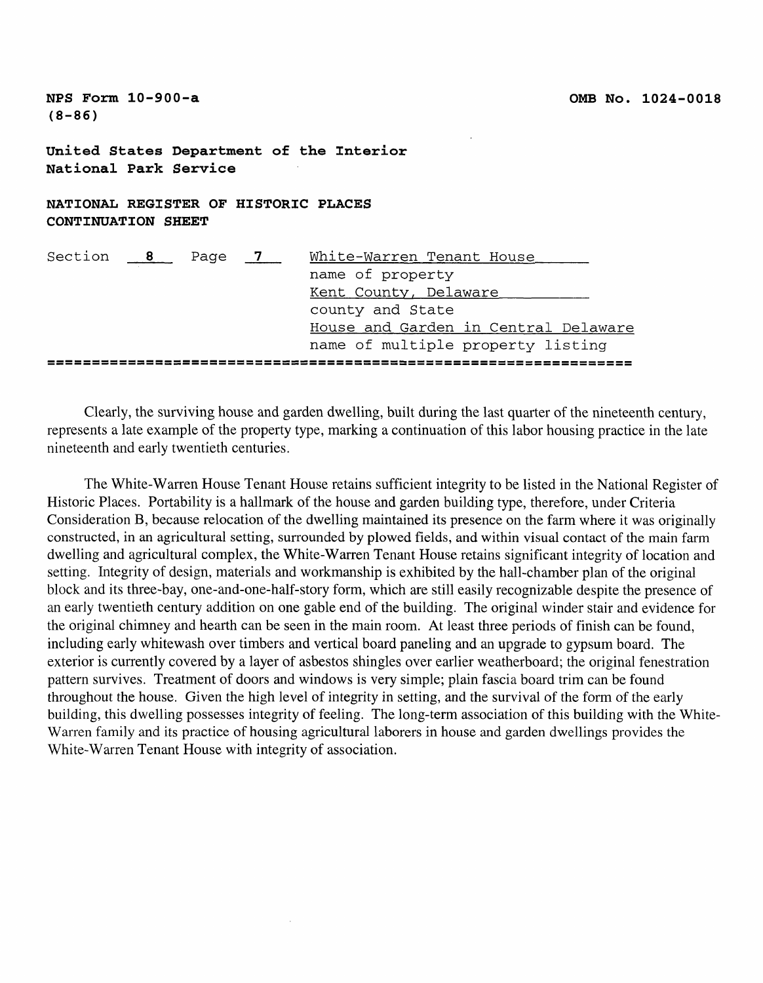**United States Department of the Interior National Park Service**

**NATIONAL REGISTER OF HISTORIC PLACES CONTINUATION SHEET**

| Section 8 Page 7 |  | White-Warren Tenant House            |
|------------------|--|--------------------------------------|
|                  |  | name of property                     |
|                  |  | Kent County, Delaware                |
|                  |  | county and State                     |
|                  |  | House and Garden in Central Delaware |
|                  |  | name of multiple property listing    |
|                  |  |                                      |

Clearly, the surviving house and garden dwelling, built during the last quarter of the nineteenth century, represents a late example of the property type, marking a continuation of this labor housing practice in the late nineteenth and early twentieth centuries.

The White-Warren House Tenant House retains sufficient integrity to be listed in the National Register of Historic Places. Portability is a hallmark of the house and garden building type, therefore, under Criteria Consideration B, because relocation of the dwelling maintained its presence on the farm where it was originally constructed, in an agricultural setting, surrounded by plowed fields, and within visual contact of the main farm dwelling and agricultural complex, the White-Warren Tenant House retains significant integrity of location and setting. Integrity of design, materials and workmanship is exhibited by the hall-chamber plan of the original block and its three-bay, one-and-one-half-story form, which are still easily recognizable despite the presence of an early twentieth century addition on one gable end of the building. The original winder stair and evidence for the original chimney and hearth can be seen in the main room. At least three periods of finish can be found, including early whitewash over timbers and vertical board paneling and an upgrade to gypsum board. The exterior is currently covered by a layer of asbestos shingles over earlier weatherboard; the original fenestration pattern survives. Treatment of doors and windows is very simple; plain fascia board trim can be found throughout the house. Given the high level of integrity in setting, and the survival of the form of the early building, this dwelling possesses integrity of feeling. The long-term association of this building with the White-Warren family and its practice of housing agricultural laborers in house and garden dwellings provides the White-Warren Tenant House with integrity of association.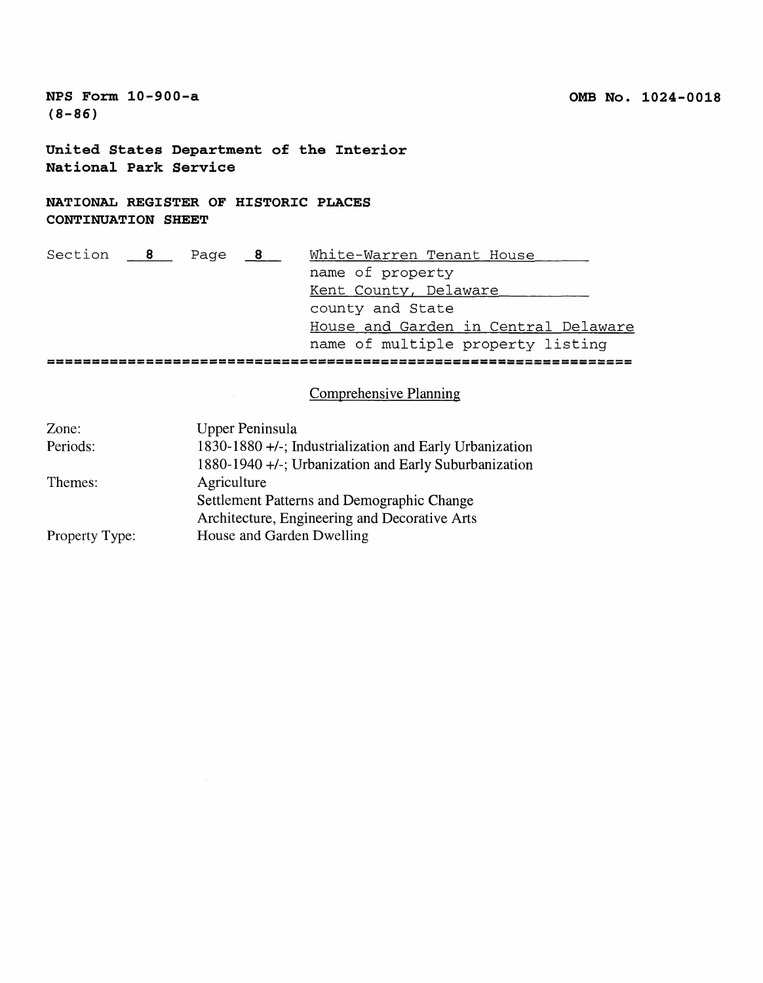**United States Department of the Interior National Park Service**

**NATIONAL REGISTER OF HISTORIC PLACES CONTINUATION SHEET**

| Section 8 | Page | $\frac{8}{2}$ | White-Warren Tenant House |  |  |  |                                      |
|-----------|------|---------------|---------------------------|--|--|--|--------------------------------------|
|           |      |               | name of property          |  |  |  |                                      |
|           |      |               | Kent County, Delaware     |  |  |  |                                      |
|           |      |               | county and State          |  |  |  |                                      |
|           |      |               |                           |  |  |  | House and Garden in Central Delaware |
|           |      |               |                           |  |  |  | name of multiple property listing    |
|           |      |               |                           |  |  |  |                                      |

Comprehensive Planning

| Zone:          | Upper Peninsula                                         |
|----------------|---------------------------------------------------------|
| Periods:       | 1830-1880 +/-; Industrialization and Early Urbanization |
|                | 1880-1940 +/-; Urbanization and Early Suburbanization   |
| Themes:        | Agriculture                                             |
|                | Settlement Patterns and Demographic Change              |
|                | Architecture, Engineering and Decorative Arts           |
| Property Type: | House and Garden Dwelling                               |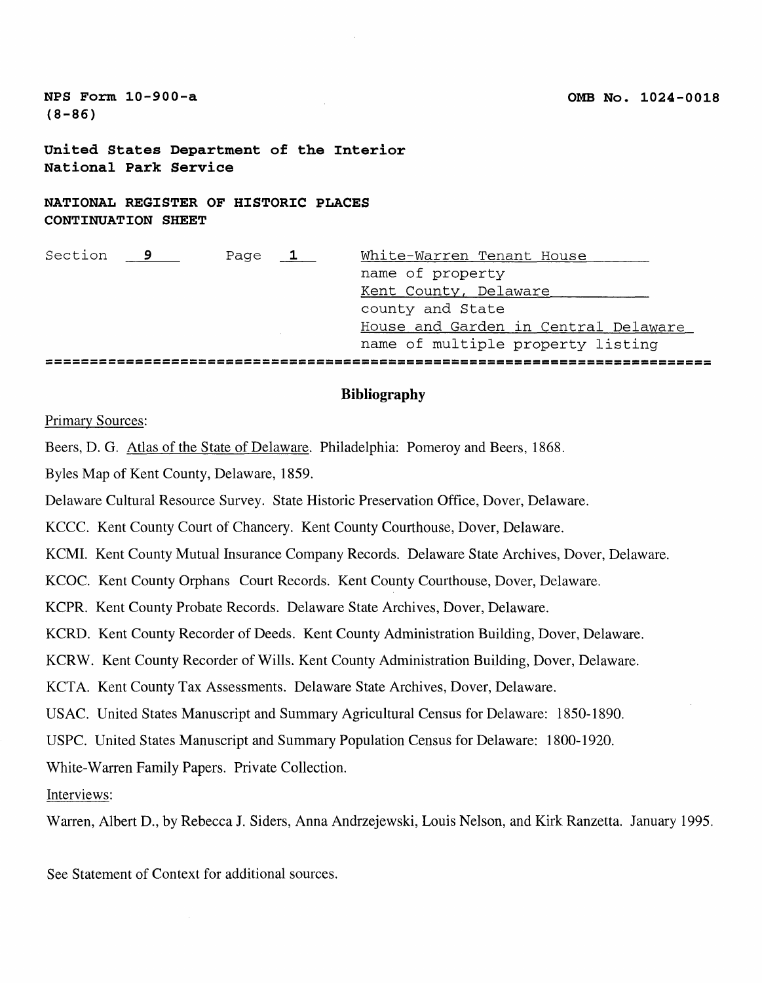**United States Department of the Interior National Park Service**

**NATIONAL REGISTER OF HISTORIC PLACES CONTINUATION SHEET**

| Section 9 | Page | $\mathbf 1$ | White-Warren Tenant House            |
|-----------|------|-------------|--------------------------------------|
|           |      |             | name of property                     |
|           |      |             | Kent County, Delaware                |
|           |      |             | county and State                     |
|           |      |             | House and Garden in Central Delaware |
|           |      |             | name of multiple property listing    |
|           |      |             |                                      |

# **Bibliography**

#### Primary Sources:

Beers, D. G. Atlas of the State of Delaware. Philadelphia: Pomeroy and Beers, 1868.

Byles Map of Kent County, Delaware, 1859.

Delaware Cultural Resource Survey. State Historic Preservation Office, Dover, Delaware.

KCCC. Kent County Court of Chancery. Kent County Courthouse, Dover, Delaware.

KCMI. Kent County Mutual Insurance Company Records. Delaware State Archives, Dover, Delaware.

KCOC. Kent County Orphans Court Records. Kent County Courthouse, Dover, Delaware.

KCPR. Kent County Probate Records. Delaware State Archives, Dover, Delaware.

KCRD. Kent County Recorder of Deeds. Kent County Administration Building, Dover, Delaware.

KCRW. Kent County Recorder of Wills. Kent County Administration Building, Dover, Delaware.

KCTA. Kent County Tax Assessments. Delaware State Archives, Dover, Delaware.

US AC. United States Manuscript and Summary Agricultural Census for Delaware: 1850-1890.

USPC. United States Manuscript and Summary Population Census for Delaware: 1800-1920.

White-Warren Family Papers. Private Collection.

Interviews:

Warren, Albert D., by Rebecca J. Siders, Anna Andrzejewski, Louis Nelson, and Kirk Ranzetta. January 1995.

See Statement of Context for additional sources.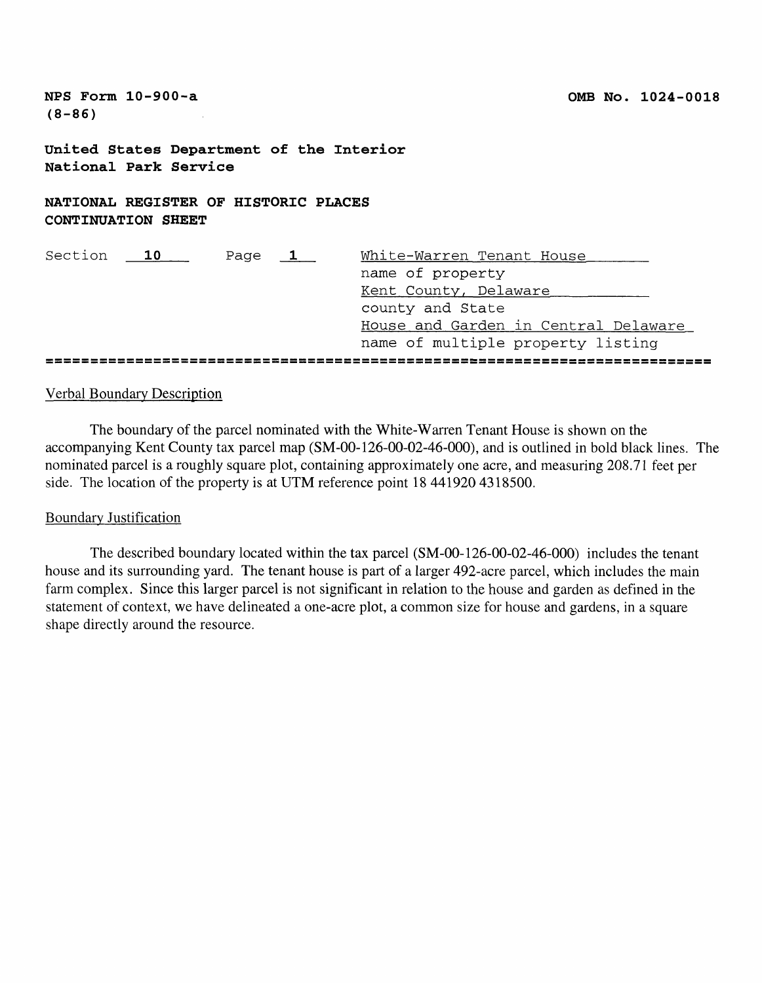**NFS Form 10-900-a OMB No. 1024-0018 (8-86) United States Department of the Interior National Park Service NATIONAL REGISTER OF HISTORIC PLACES CONTINUATION SHEET** Section 10 Page 1 White-Warren Tenant House name of property Kent County, Delaware\_\_\_\_\_\_\_\_\_ county and State House and Garden in Central Delaware name of multiple property listing 

# Verbal Boundary Description

The boundary of the parcel nominated with the White-Warren Tenant House is shown on the accompanying Kent County tax parcel map (SM-00-126-00-02-46-000), and is outlined in bold black lines. The nominated parcel is a roughly square plot, containing approximately one acre, and measuring 208.71 feet per side. The location of the property is at UTM reference point 18 441920 4318500.

# Boundary Justification

The described boundary located within the tax parcel (SM-00-126-00-02-46-000) includes the tenant house and its surrounding yard. The tenant house is part of a larger 492-acre parcel, which includes the main farm complex. Since this larger parcel is not significant in relation to the house and garden as defined in the statement of context, we have delineated a one-acre plot, a common size for house and gardens, in a square shape directly around the resource.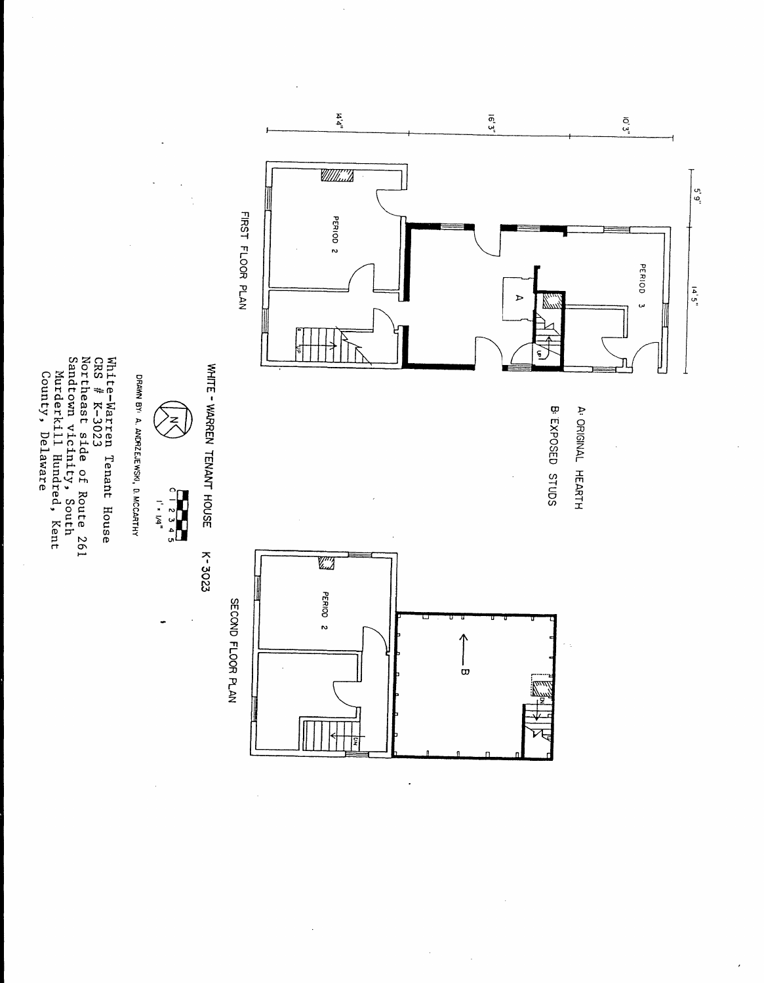

 $\ddot{\phantom{0}}$ 

WHITE - WARREN TENANT HOUSE WHITE - WARREN TENANT HOUSE K-3023 K-3023



DRAWN BY< A. ANDRZEJEWSKI, D. MCCARTHYDRAWN BY: A. ANDRZEJEWSKI, D. MCCARTHY

White-Warren Tenant House CRS // K-3023Northeast side of Route 261 Sandtown vicinity, SouthMurderkill Hundred, KentCounty, Delaware